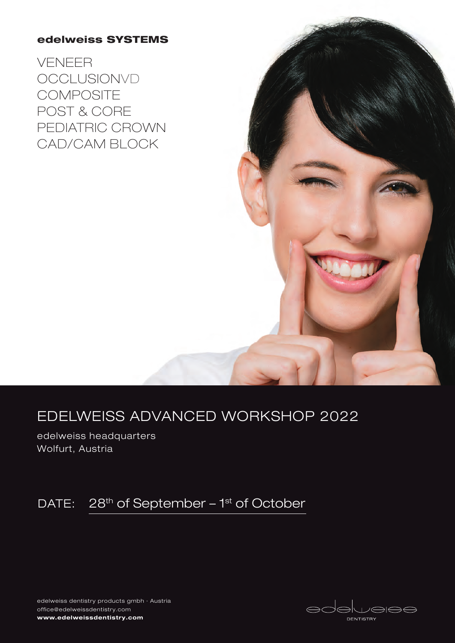### edelweiss SYSTEMS

VENEER **OCCLUSIONVD COMPOSITE** POST & CORE PEDIATRIC CROWN CAD/CAM BLOCK



### EDELWEISS ADVANCED WORKSHOP 2022

edelweiss headquarters Wolfurt, Austria

### DATE: 28<sup>th</sup> of September - 1<sup>st</sup> of October

edelweiss dentistry products gmbh · Austria office@edelweissdentistry.com www.edelweissdentistry.com

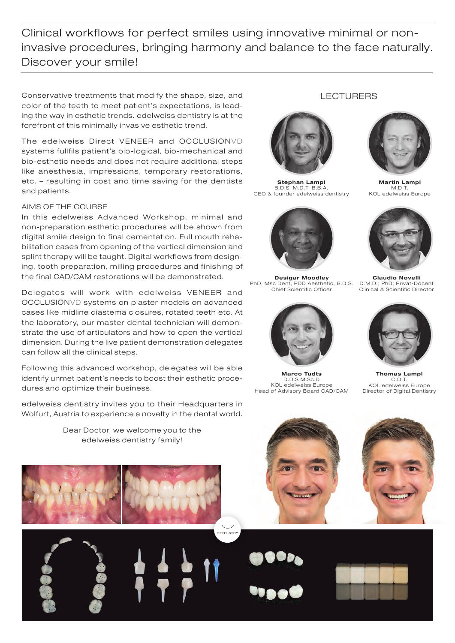Clinical workflows for perfect smiles using innovative minimal or noninvasive procedures, bringing harmony and balance to the face naturally. Discover your smile!

**DENTISTRY** 

Conservative treatments that modify the shape, size, and color of the teeth to meet patient's expectations, is leading the way in esthetic trends. edelweiss dentistry is at the forefront of this minimally invasive esthetic trend.

The edelweiss Direct VENEER and OCCLUSIONVD systems fullfils patient's bio-logical, bio-mechanical and bio-esthetic needs and does not require additional steps like anesthesia, impressions, temporary restorations, etc. – resulting in cost and time saving for the dentists and patients.

#### AIMS OF THE COURSE

In this edelweiss Advanced Workshop, minimal and non-preparation esthetic procedures will be shown from digital smile design to final cementation. Full mouth rehabilitation cases from opening of the vertical dimension and splint therapy will be taught. Digital workflows from designing, tooth preparation, milling procedures and finishing of the final CAD/CAM restorations will be demonstrated.

Delegates will work with edelweiss VENEER and OCCLUSIONVD systems on plaster models on advanced cases like midline diastema closures, rotated teeth etc. At the laboratory, our master dental technician will demonstrate the use of articulators and how to open the vertical dimension. During the live patient demonstration delegates can follow all the clinical steps.

Following this advanced workshop, delegates will be able identify unmet patient's needs to boost their esthetic procedures and optimize their business.

edelweiss dentistry invites you to their Headquarters in Wolfurt, Austria to experience a novelty in the dental world.

> Dear Doctor, we welcome you to the edelweiss dentistry family!



# Marco Tudts D.D.S M.Sc.D KOL edelweiss Europe Head of Advisory Board CAD/CAM

Martin Lampl  $M.$ D.T KOL edelweiss Europe



Stephan Lampl B.D.S. M.D.T. B.B.A. CEO & founder edelweiss dentistry

Desigar Moodley PhD, Msc Dent, PDD Aesthetic, B.D.S. Chief Scientific Officer



Thomas Lampl C.D.T. KOL edelweiss Europe Director of Digital Dentistry



LECTURERS

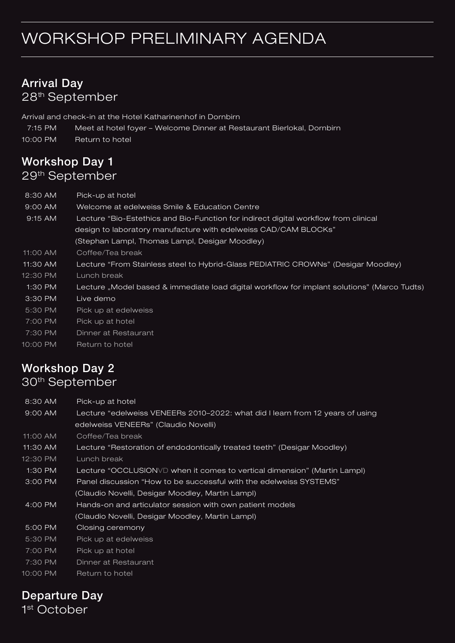## WORKSHOP PRELIMINARY AGENDA

### Arrival Day 28th September

Arrival and check-in at the Hotel Katharinenhof in Dornbirn

- 7:15 PM Meet at hotel foyer Welcome Dinner at Restaurant Bierlokal, Dornbirn
- 10:00 PM Return to hotel

### Workshop Day 1 29th September

| 8:30 AM    | Pick-up at hotel                                                                            |
|------------|---------------------------------------------------------------------------------------------|
| $9:00$ AM  | Welcome at edelweiss Smile & Education Centre                                               |
| $9:15$ AM  | Lecture "Bio-Estethics and Bio-Function for indirect digital workflow from clinical         |
|            | design to laboratory manufacture with edelweiss CAD/CAM BLOCKs"                             |
|            | (Stephan Lampl, Thomas Lampl, Desigar Moodley)                                              |
| 11:00 AM   | Coffee/Tea break                                                                            |
| $11:30$ AM | Lecture "From Stainless steel to Hybrid-Glass PEDIATRIC CROWNs" (Desigar Moodley)           |
| 12:30 PM   | Lunch break                                                                                 |
| 1:30 PM    | Lecture "Model based & immediate load digital workflow for implant solutions" (Marco Tudts) |
| 3:30 PM    | Live demo                                                                                   |
| 5:30 PM    | Pick up at edelweiss                                                                        |
| 7:00 PM    | Pick up at hotel                                                                            |
| 7:30 PM    | Dinner at Restaurant                                                                        |
| 10:00 PM   | Return to hotel                                                                             |
|            |                                                                                             |

### Workshop Day 2 30th September

8:30 AM Pick-up at hotel

| 9:00 AM    | Lecture "edelweiss VENEERs 2010-2022: what did I learn from 12 years of using |  |  |
|------------|-------------------------------------------------------------------------------|--|--|
|            | edelweiss VENEERs" (Claudio Novelli)                                          |  |  |
| 11:00 AM   | Coffee/Tea break                                                              |  |  |
| $11:30$ AM | Lecture "Restoration of endodontically treated teeth" (Desigar Moodley)       |  |  |
| 12:30 PM   | Lunch break                                                                   |  |  |
| 1:30 PM    | Lecture "OCCLUSIONVD when it comes to vertical dimension" (Martin Lampl)      |  |  |
| $3:00$ PM  | Panel discussion "How to be successful with the edelweiss SYSTEMS"            |  |  |
|            | (Claudio Novelli, Desigar Moodley, Martin Lampl)                              |  |  |
| 4:00 PM    | Hands-on and articulator session with own patient models                      |  |  |
|            | (Claudio Novelli, Desigar Moodley, Martin Lampl)                              |  |  |
| 5:00 PM    | Closing ceremony                                                              |  |  |
| 5:30 PM    | Pick up at edelweiss                                                          |  |  |
| 7:00 PM    | Pick up at hotel                                                              |  |  |
| 7:30 PM    | Dinner at Restaurant                                                          |  |  |
| 10:00 PM   | Return to hotel                                                               |  |  |

### Departure Day

1<sup>st</sup> October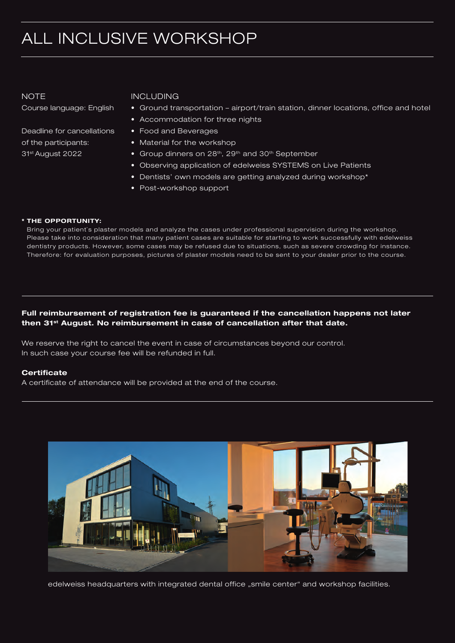## ALL INCLUSIVE WORKSHOP

**NOTE** 

Course language: English

Deadline for cancellations of the participants: 31st August 2022

#### INCLUDING

- Ground transportation airport/train station, dinner locations, office and hotel
- Accommodation for three nights
- Food and Beverages
- Material for the workshop
- Group dinners on 28<sup>th</sup>, 29<sup>th</sup> and 30<sup>th</sup> September
- Observing application of edelweiss SYSTEMS on Live Patients
- Dentists' own models are getting analyzed during workshop\*
- Post-workshop support

#### \* THE OPPORTUNITY:

Bring your patient`s plaster models and analyze the cases under professional supervision during the workshop. Please take into consideration that many patient cases are suitable for starting to work successfully with edelweiss dentistry products. However, some cases may be refused due to situations, such as severe crowding for instance. Therefore: for evaluation purposes, pictures of plaster models need to be sent to your dealer prior to the course.

#### Full reimbursement of registration fee is guaranteed if the cancellation happens not later then 31<sup>st</sup> August. No reimbursement in case of cancellation after that date.

We reserve the right to cancel the event in case of circumstances beyond our control. In such case your course fee will be refunded in full.

#### **Certificate**

A certificate of attendance will be provided at the end of the course.



edelweiss headquarters with integrated dental office "smile center" and workshop facilities.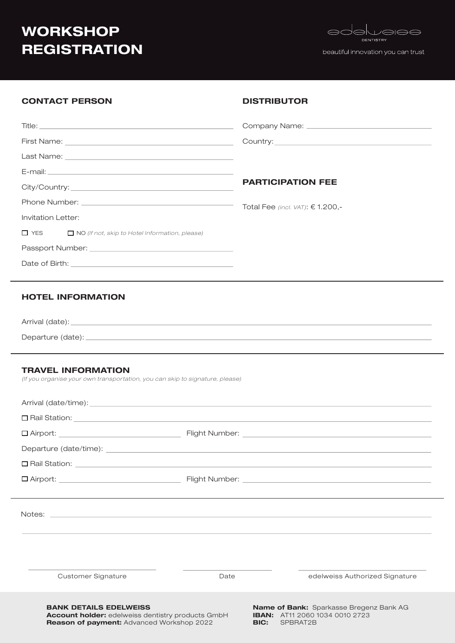### **WORKSHOP REGISTRATION**

Title:



beautiful innovation you can trust

#### CONTACT PERSON

#### **DISTRIBUTOR**

Company Name:

|                                                                  | <b>PARTICIPATION FEE</b>          |
|------------------------------------------------------------------|-----------------------------------|
|                                                                  | Total Fee (incl. VAT): $$1.200,-$ |
| Invitation Letter:                                               |                                   |
| $\Box$ YES $\Box$ NO (If not, skip to Hotel Information, please) |                                   |
|                                                                  |                                   |
|                                                                  |                                   |

#### HOTEL INFORMATION

Arrival (date): Departure (date):

#### TRAVEL INFORMATION

*(If you organise your own transportation, you can skip to signature, please)*

| Customer Signature                                                                                                                            | Date | edelweiss Authorized Signature                                                                      |  |  |  |
|-----------------------------------------------------------------------------------------------------------------------------------------------|------|-----------------------------------------------------------------------------------------------------|--|--|--|
| <b>BANK DETAILS EDELWEISS</b><br><b>Account holder:</b> edelweiss dentistry products GmbH<br><b>Reason of payment: Advanced Workshop 2022</b> | BIC: | <b>Name of Bank:</b> Sparkasse Bregenz Bank AG<br><b>IBAN:</b> AT11 2060 1034 0010 2723<br>SPBRAT2B |  |  |  |